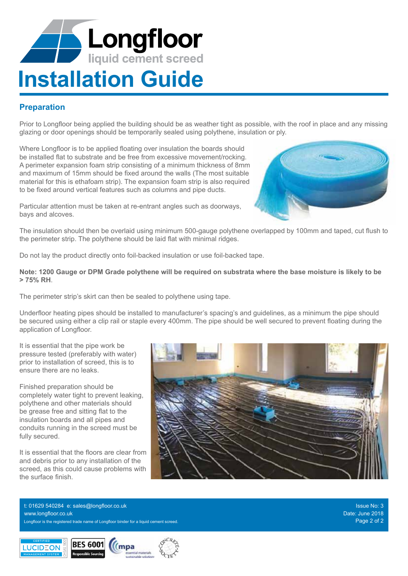# **Longfloor Alb Installation Guide**

# **Preparation**

Prior to Longfloor being applied the building should be as weather tight as possible, with the roof in place and any missing glazing or door openings should be temporarily sealed using polythene, insulation or ply.

Where Longfloor is to be applied floating over insulation the boards should be installed flat to substrate and be free from excessive movement/rocking. A perimeter expansion foam strip consisting of a minimum thickness of 8mm and maximum of 15mm should be fixed around the walls (The most suitable material for this is ethafoam strip). The expansion foam strip is also required to be fixed around vertical features such as columns and pipe ducts.

Particular attention must be taken at re-entrant angles such as doorways, bays and alcoves.

The insulation should then be overlaid using minimum 500-gauge polythene overlapped by 100mm and taped, cut flush to the perimeter strip. The polythene should be laid flat with minimal ridges.

Do not lay the product directly onto foil-backed insulation or use foil-backed tape.

**Note: 1200 Gauge or DPM Grade polythene will be required on substrata where the base moisture is likely to be > 75% RH**.

The perimeter strip's skirt can then be sealed to polythene using tape.

Underfloor heating pipes should be installed to manufacturer's spacing's and guidelines, as a minimum the pipe should be secured using either a clip rail or staple every 400mm. The pipe should be well secured to prevent floating during the application of Longfloor.

It is essential that the pipe work be pressure tested (preferably with water) prior to installation of screed, this is to ensure there are no leaks.

Finished preparation should be completely water tight to prevent leaking, polythene and other materials should be grease free and sitting flat to the insulation boards and all pipes and conduits running in the screed must be fully secured.

It is essential that the floors are clear from and debris prior to any installation of the screed, as this could cause problems with the surface finish.



Longfloor is the registered trade name of Longfloor binder for a liquid cement screed. Page 2 of 2 and 2 of 2 t: 01629 540284 e: sales@longfloor.co.uk www.longfloor.co.uk

Issue No: 3 Date: June 2018



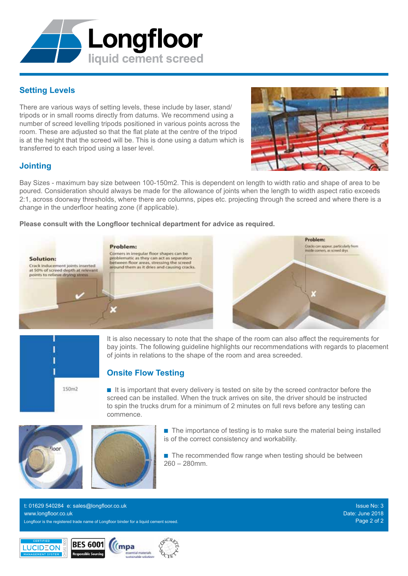# **Setting Levels**

There are various ways of setting levels, these include by laser, stand/ tripods or in small rooms directly from datums. We recommend using a number of screed levelling tripods positioned in various points across the room. These are adjusted so that the flat plate at the centre of the tripod is at the height that the screed will be. This is done using a datum which is transferred to each tripod using a laser level.

Longfloor

liquid cement screed

### **Jointing**

Solution:

Crack inducement joints inserted

Bay Sizes - maximum bay size between 100-150m2. This is dependent on length to width ratio and shape of area to be poured. Consideration should always be made for the allowance of joints when the length to width aspect ratio exceeds 2:1, across doorway thresholds, where there are columns, pipes etc. projecting through the screed and where there is a change in the underfloor heating zone (if applicable).

#### **Please consult with the Longfloor technical department for advice as required.**

Corners in irregular floor shapes can be

Problem:

It is also necessary to note that the shape of the room can also affect the requirements for bay joints. The following guideline highlights our recommendations with regards to placement of joints in relations to the shape of the room and area screeded.

# **Onsite Flow Testing**

n It is important that every delivery is tested on site by the screed contractor before the screed can be installed. When the truck arrives on site, the driver should be instructed to spin the trucks drum for a minimum of 2 minutes on full revs before any testing can commence.

> $\blacksquare$  The importance of testing is to make sure the material being installed is of the correct consistency and workability.

 $\blacksquare$  The recommended flow range when testing should be between 260 – 280mm.

> Issue No: 3 Date: June 2018

Longfloor is the registered trade name of Longfloor binder for a liquid cement screed. Page 2 of 2 and 2 of 2 t: 01629 540284 e: sales@longfloor.co.uk www.longfloor.co.uk











 $150m2$ 



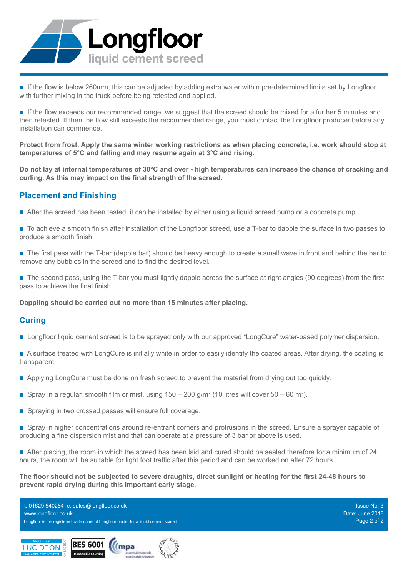

n If the flow is below 260mm, this can be adjusted by adding extra water within pre-determined limits set by Longfloor with further mixing in the truck before being retested and applied.

n If the flow exceeds our recommended range, we suggest that the screed should be mixed for a further 5 minutes and then retested. If then the flow still exceeds the recommended range, you must contact the Longfloor producer before any installation can commence.

**Protect from frost. Apply the same winter working restrictions as when placing concrete, i.e. work should stop at temperatures of 5°C and falling and may resume again at 3°C and rising.**

**Do not lay at internal temperatures of 30°C and over - high temperatures can increase the chance of cracking and curling. As this may impact on the final strength of the screed.**

### **Placement and Finishing**

- n After the screed has been tested, it can be installed by either using a liquid screed pump or a concrete pump.
- n To achieve a smooth finish after installation of the Longfloor screed, use a T-bar to dapple the surface in two passes to produce a smooth finish.
- n The first pass with the T-bar (dapple bar) should be heavy enough to create a small wave in front and behind the bar to remove any bubbles in the screed and to find the desired level.
- n The second pass, using the T-bar you must lightly dapple across the surface at right angles (90 degrees) from the first pass to achieve the final finish.

**Dappling should be carried out no more than 15 minutes after placing.** 

### **Curing**

- Longfloor liquid cement screed is to be sprayed only with our approved "LongCure" water-based polymer dispersion.
- n A surface treated with LongCure is initially white in order to easily identify the coated areas. After drying, the coating is transparent.
- **n** Applying LongCure must be done on fresh screed to prevent the material from drying out too quickly.
- **n** Spray in a regular, smooth film or mist, using  $150 200$  g/m<sup>2</sup> (10 litres will cover  $50 60$  m<sup>2</sup>).
- Spraying in two crossed passes will ensure full coverage.
- **n** Spray in higher concentrations around re-entrant corners and protrusions in the screed. Ensure a sprayer capable of producing a fine dispersion mist and that can operate at a pressure of 3 bar or above is used.

n After placing, the room in which the screed has been laid and cured should be sealed therefore for a minimum of 24 hours, the room will be suitable for light foot traffic after this period and can be worked on after 72 hours.

**The floor should not be subjected to severe draughts, direct sunlight or heating for the first 24-48 hours to prevent rapid drying during this important early stage.**

Longfloor is the registered trade name of Longfloor binder for a liquid cement screed. Page 2 of 2 and 2 of 2 t: 01629 540284 e: sales@longfloor.co.uk www.longfloor.co.uk

Issue No: 3 Date: June 2018